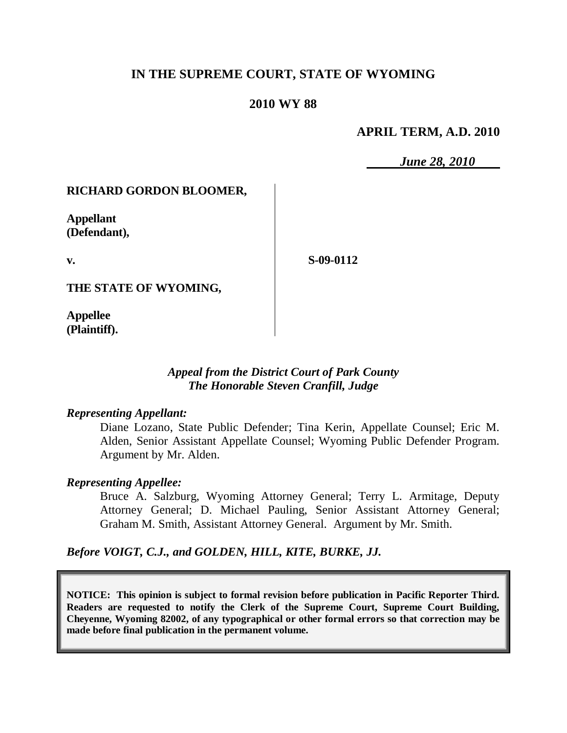# **IN THE SUPREME COURT, STATE OF WYOMING**

### **2010 WY 88**

### **APRIL TERM, A.D. 2010**

*June 28, 2010*

### **RICHARD GORDON BLOOMER,**

**Appellant (Defendant),**

**v.**

**S-09-0112**

**THE STATE OF WYOMING,**

**Appellee (Plaintiff).**

#### *Appeal from the District Court of Park County The Honorable Steven Cranfill, Judge*

#### *Representing Appellant:*

Diane Lozano, State Public Defender; Tina Kerin, Appellate Counsel; Eric M. Alden, Senior Assistant Appellate Counsel; Wyoming Public Defender Program. Argument by Mr. Alden.

#### *Representing Appellee:*

Bruce A. Salzburg, Wyoming Attorney General; Terry L. Armitage, Deputy Attorney General; D. Michael Pauling, Senior Assistant Attorney General; Graham M. Smith, Assistant Attorney General. Argument by Mr. Smith.

*Before VOIGT, C.J., and GOLDEN, HILL, KITE, BURKE, JJ.*

**NOTICE: This opinion is subject to formal revision before publication in Pacific Reporter Third. Readers are requested to notify the Clerk of the Supreme Court, Supreme Court Building, Cheyenne, Wyoming 82002, of any typographical or other formal errors so that correction may be made before final publication in the permanent volume.**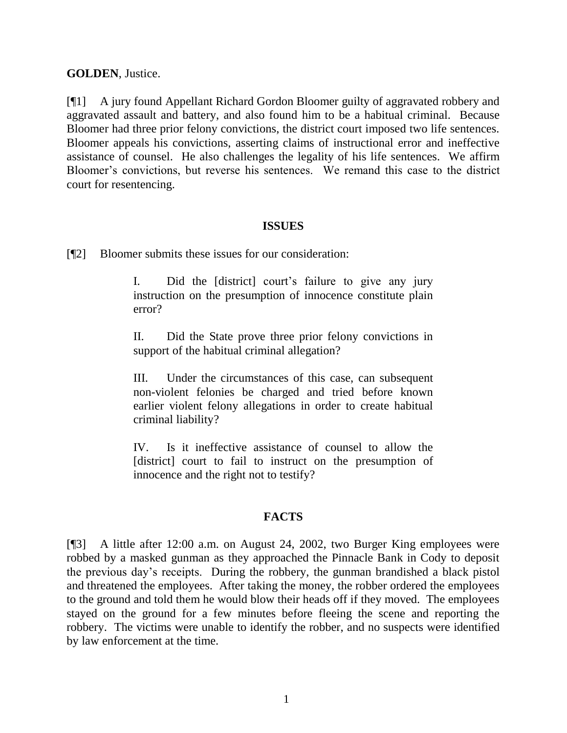### **GOLDEN**, Justice.

[¶1] A jury found Appellant Richard Gordon Bloomer guilty of aggravated robbery and aggravated assault and battery, and also found him to be a habitual criminal. Because Bloomer had three prior felony convictions, the district court imposed two life sentences. Bloomer appeals his convictions, asserting claims of instructional error and ineffective assistance of counsel. He also challenges the legality of his life sentences. We affirm Bloomer's convictions, but reverse his sentences. We remand this case to the district court for resentencing.

### **ISSUES**

[¶2] Bloomer submits these issues for our consideration:

I. Did the [district] court's failure to give any jury instruction on the presumption of innocence constitute plain error?

II. Did the State prove three prior felony convictions in support of the habitual criminal allegation?

III. Under the circumstances of this case, can subsequent non-violent felonies be charged and tried before known earlier violent felony allegations in order to create habitual criminal liability?

IV. Is it ineffective assistance of counsel to allow the [district] court to fail to instruct on the presumption of innocence and the right not to testify?

## **FACTS**

[¶3] A little after 12:00 a.m. on August 24, 2002, two Burger King employees were robbed by a masked gunman as they approached the Pinnacle Bank in Cody to deposit the previous day's receipts. During the robbery, the gunman brandished a black pistol and threatened the employees. After taking the money, the robber ordered the employees to the ground and told them he would blow their heads off if they moved. The employees stayed on the ground for a few minutes before fleeing the scene and reporting the robbery. The victims were unable to identify the robber, and no suspects were identified by law enforcement at the time.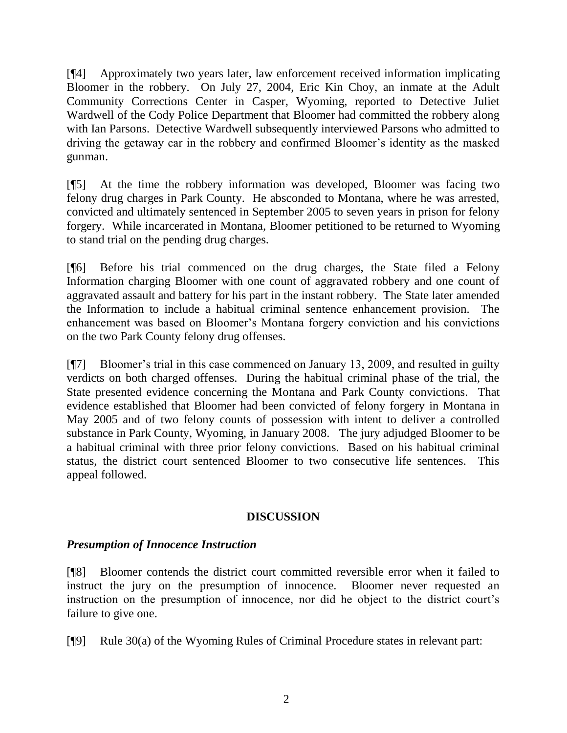[¶4] Approximately two years later, law enforcement received information implicating Bloomer in the robbery. On July 27, 2004, Eric Kin Choy, an inmate at the Adult Community Corrections Center in Casper, Wyoming, reported to Detective Juliet Wardwell of the Cody Police Department that Bloomer had committed the robbery along with Ian Parsons. Detective Wardwell subsequently interviewed Parsons who admitted to driving the getaway car in the robbery and confirmed Bloomer's identity as the masked gunman.

[¶5] At the time the robbery information was developed, Bloomer was facing two felony drug charges in Park County. He absconded to Montana, where he was arrested, convicted and ultimately sentenced in September 2005 to seven years in prison for felony forgery. While incarcerated in Montana, Bloomer petitioned to be returned to Wyoming to stand trial on the pending drug charges.

[¶6] Before his trial commenced on the drug charges, the State filed a Felony Information charging Bloomer with one count of aggravated robbery and one count of aggravated assault and battery for his part in the instant robbery. The State later amended the Information to include a habitual criminal sentence enhancement provision. The enhancement was based on Bloomer's Montana forgery conviction and his convictions on the two Park County felony drug offenses.

[¶7] Bloomer's trial in this case commenced on January 13, 2009, and resulted in guilty verdicts on both charged offenses. During the habitual criminal phase of the trial, the State presented evidence concerning the Montana and Park County convictions. That evidence established that Bloomer had been convicted of felony forgery in Montana in May 2005 and of two felony counts of possession with intent to deliver a controlled substance in Park County, Wyoming, in January 2008. The jury adjudged Bloomer to be a habitual criminal with three prior felony convictions. Based on his habitual criminal status, the district court sentenced Bloomer to two consecutive life sentences. This appeal followed.

## **DISCUSSION**

## *Presumption of Innocence Instruction*

[¶8] Bloomer contends the district court committed reversible error when it failed to instruct the jury on the presumption of innocence. Bloomer never requested an instruction on the presumption of innocence, nor did he object to the district court's failure to give one.

[¶9] Rule 30(a) of the Wyoming Rules of Criminal Procedure states in relevant part: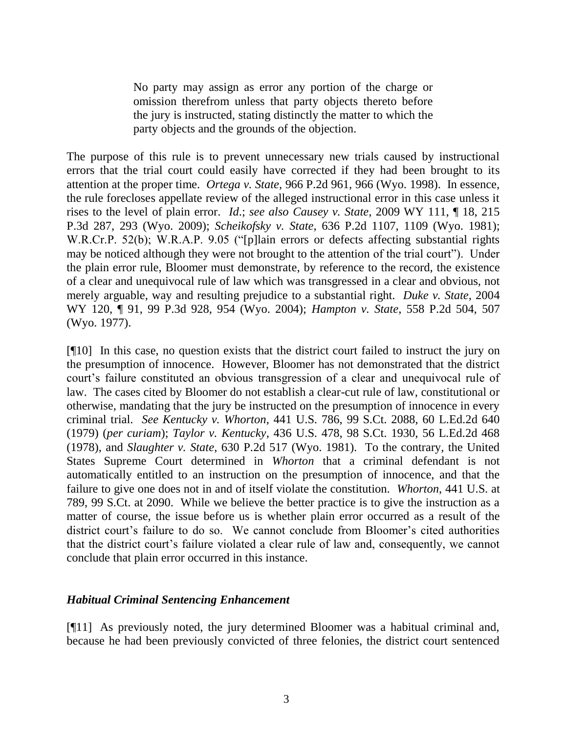No party may assign as error any portion of the charge or omission therefrom unless that party objects thereto before the jury is instructed, stating distinctly the matter to which the party objects and the grounds of the objection.

The purpose of this rule is to prevent unnecessary new trials caused by instructional errors that the trial court could easily have corrected if they had been brought to its attention at the proper time. *Ortega v. State*, 966 P.2d 961, 966 (Wyo. 1998). In essence, the rule forecloses appellate review of the alleged instructional error in this case unless it rises to the level of plain error. *Id*.; *see also Causey v. State*, 2009 WY 111, ¶ 18, 215 P.3d 287, 293 (Wyo. 2009); *Scheikofsky v. State*, 636 P.2d 1107, 1109 (Wyo. 1981); W.R.Cr.P. 52(b); W.R.A.P. 9.05 ("[p]lain errors or defects affecting substantial rights may be noticed although they were not brought to the attention of the trial court"). Under the plain error rule, Bloomer must demonstrate, by reference to the record, the existence of a clear and unequivocal rule of law which was transgressed in a clear and obvious, not merely arguable, way and resulting prejudice to a substantial right. *Duke v. State*, 2004 WY 120, ¶ 91, 99 P.3d 928, 954 (Wyo. 2004); *Hampton v. State*, 558 P.2d 504, 507 (Wyo. 1977).

[¶10] In this case, no question exists that the district court failed to instruct the jury on the presumption of innocence. However, Bloomer has not demonstrated that the district court's failure constituted an obvious transgression of a clear and unequivocal rule of law. The cases cited by Bloomer do not establish a clear-cut rule of law, constitutional or otherwise, mandating that the jury be instructed on the presumption of innocence in every criminal trial. *See Kentucky v. Whorton*, 441 U.S. 786, 99 S.Ct. 2088, 60 L.Ed.2d 640 (1979) (*per curiam*); *Taylor v. Kentucky*, 436 U.S. 478, 98 S.Ct. 1930, 56 L.Ed.2d 468 (1978), and *Slaughter v. State*, 630 P.2d 517 (Wyo. 1981). To the contrary, the United States Supreme Court determined in *Whorton* that a criminal defendant is not automatically entitled to an instruction on the presumption of innocence, and that the failure to give one does not in and of itself violate the constitution. *Whorton*, 441 U.S. at 789, 99 S.Ct. at 2090. While we believe the better practice is to give the instruction as a matter of course, the issue before us is whether plain error occurred as a result of the district court's failure to do so. We cannot conclude from Bloomer's cited authorities that the district court's failure violated a clear rule of law and, consequently, we cannot conclude that plain error occurred in this instance.

### *Habitual Criminal Sentencing Enhancement*

[¶11] As previously noted, the jury determined Bloomer was a habitual criminal and, because he had been previously convicted of three felonies, the district court sentenced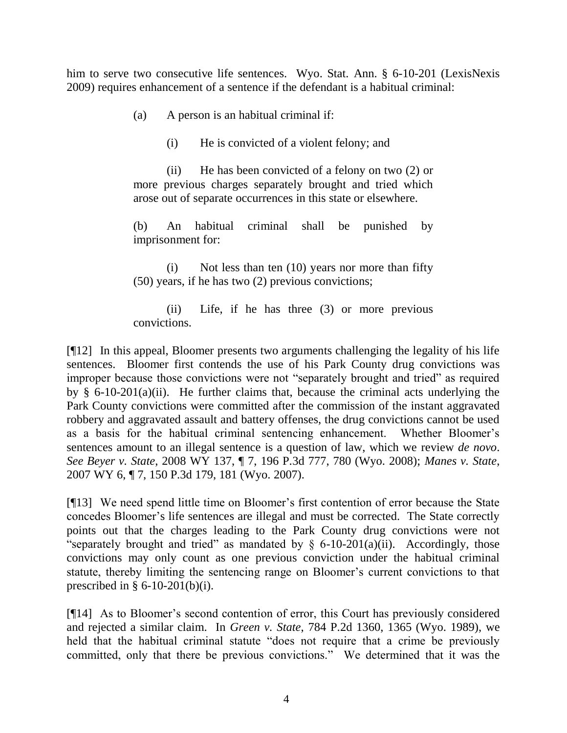him to serve two consecutive life sentences. Wyo. Stat. Ann. § 6-10-201 (LexisNexis 2009) requires enhancement of a sentence if the defendant is a habitual criminal:

(a) A person is an habitual criminal if:

(i) He is convicted of a violent felony; and

(ii) He has been convicted of a felony on two (2) or more previous charges separately brought and tried which arose out of separate occurrences in this state or elsewhere.

(b) An habitual criminal shall be punished by imprisonment for:

(i) Not less than ten (10) years nor more than fifty (50) years, if he has two (2) previous convictions;

(ii) Life, if he has three (3) or more previous convictions.

[¶12] In this appeal, Bloomer presents two arguments challenging the legality of his life sentences. Bloomer first contends the use of his Park County drug convictions was improper because those convictions were not "separately brought and tried" as required by  $\S$  6-10-201(a)(ii). He further claims that, because the criminal acts underlying the Park County convictions were committed after the commission of the instant aggravated robbery and aggravated assault and battery offenses, the drug convictions cannot be used as a basis for the habitual criminal sentencing enhancement. Whether Bloomer's sentences amount to an illegal sentence is a question of law, which we review *de novo*. *See Beyer v. State*, 2008 WY 137, ¶ 7, 196 P.3d 777, 780 (Wyo. 2008); *Manes v. State*, 2007 WY 6, ¶ 7, 150 P.3d 179, 181 (Wyo. 2007).

[¶13] We need spend little time on Bloomer's first contention of error because the State concedes Bloomer's life sentences are illegal and must be corrected. The State correctly points out that the charges leading to the Park County drug convictions were not "separately brought and tried" as mandated by  $\S$  6-10-201(a)(ii). Accordingly, those convictions may only count as one previous conviction under the habitual criminal statute, thereby limiting the sentencing range on Bloomer's current convictions to that prescribed in  $\S 6-10-201(b)(i)$ .

[¶14] As to Bloomer's second contention of error, this Court has previously considered and rejected a similar claim. In *Green v. State*, 784 P.2d 1360, 1365 (Wyo. 1989), we held that the habitual criminal statute "does not require that a crime be previously committed, only that there be previous convictions." We determined that it was the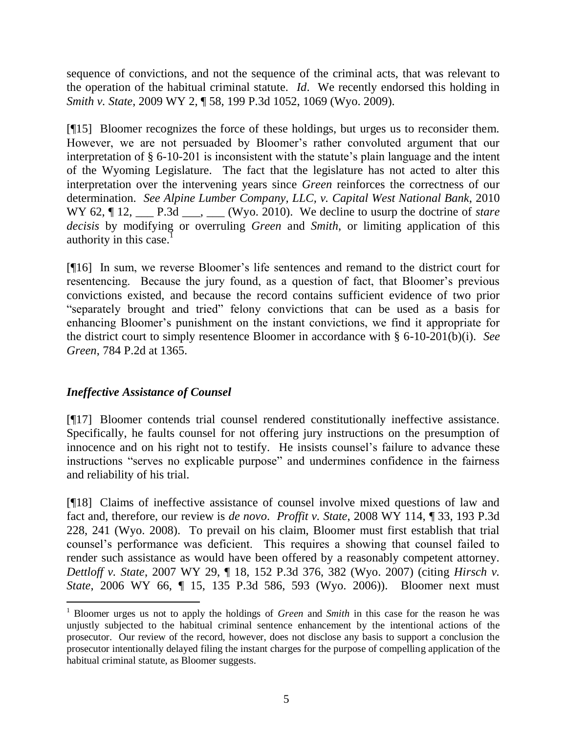sequence of convictions, and not the sequence of the criminal acts, that was relevant to the operation of the habitual criminal statute. *Id*. We recently endorsed this holding in *Smith v. State*, 2009 WY 2, ¶ 58, 199 P.3d 1052, 1069 (Wyo. 2009).

[¶15] Bloomer recognizes the force of these holdings, but urges us to reconsider them. However, we are not persuaded by Bloomer's rather convoluted argument that our interpretation of § 6-10-201 is inconsistent with the statute's plain language and the intent of the Wyoming Legislature. The fact that the legislature has not acted to alter this interpretation over the intervening years since *Green* reinforces the correctness of our determination. *See Alpine Lumber Company, LLC, v. Capital West National Bank*, 2010 WY 62, ¶ 12, \_\_\_ P.3d \_\_\_, \_\_\_ (Wyo. 2010). We decline to usurp the doctrine of *stare decisis* by modifying or overruling *Green* and *Smith*, or limiting application of this authority in this case. $<sup>1</sup>$ </sup>

[¶16] In sum, we reverse Bloomer's life sentences and remand to the district court for resentencing. Because the jury found, as a question of fact, that Bloomer's previous convictions existed, and because the record contains sufficient evidence of two prior "separately brought and tried" felony convictions that can be used as a basis for enhancing Bloomer's punishment on the instant convictions, we find it appropriate for the district court to simply resentence Bloomer in accordance with § 6-10-201(b)(i). *See Green*, 784 P.2d at 1365.

## *Ineffective Assistance of Counsel*

 $\overline{a}$ 

[¶17] Bloomer contends trial counsel rendered constitutionally ineffective assistance. Specifically, he faults counsel for not offering jury instructions on the presumption of innocence and on his right not to testify. He insists counsel's failure to advance these instructions "serves no explicable purpose" and undermines confidence in the fairness and reliability of his trial.

[¶18] Claims of ineffective assistance of counsel involve mixed questions of law and fact and, therefore, our review is *de novo*. *Proffit v. State*, 2008 WY 114, ¶ 33, 193 P.3d 228, 241 (Wyo. 2008). To prevail on his claim, Bloomer must first establish that trial counsel's performance was deficient. This requires a showing that counsel failed to render such assistance as would have been offered by a reasonably competent attorney. *Dettloff v. State*, 2007 WY 29, ¶ 18, 152 P.3d 376, 382 (Wyo. 2007) (citing *Hirsch v. State*, 2006 WY 66, ¶ 15, 135 P.3d 586, 593 (Wyo. 2006)). Bloomer next must

<sup>1</sup> Bloomer urges us not to apply the holdings of *Green* and *Smith* in this case for the reason he was unjustly subjected to the habitual criminal sentence enhancement by the intentional actions of the prosecutor. Our review of the record, however, does not disclose any basis to support a conclusion the prosecutor intentionally delayed filing the instant charges for the purpose of compelling application of the habitual criminal statute, as Bloomer suggests.